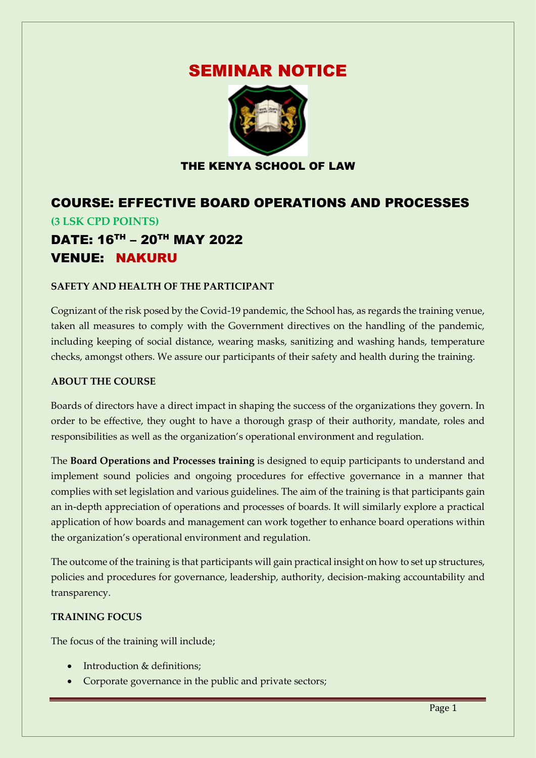# SEMINAR NOTICE



### THE KENYA SCHOOL OF LAW

## COURSE: EFFECTIVE BOARD OPERATIONS AND PROCESSES **(3 LSK CPD POINTS)** DATE: 16TH – 20TH MAY 2022 VENUE: NAKURU

#### **SAFETY AND HEALTH OF THE PARTICIPANT**

Cognizant of the risk posed by the Covid-19 pandemic, the School has, as regards the training venue, taken all measures to comply with the Government directives on the handling of the pandemic, including keeping of social distance, wearing masks, sanitizing and washing hands, temperature checks, amongst others. We assure our participants of their safety and health during the training.

#### **ABOUT THE COURSE**

Boards of directors have a direct impact in shaping the success of the organizations they govern. In order to be effective, they ought to have a thorough grasp of their authority, mandate, roles and responsibilities as well as the organization's operational environment and regulation.

The **Board Operations and Processes training** is designed to equip participants to understand and implement sound policies and ongoing procedures for effective governance in a manner that complies with set legislation and various guidelines. The aim of the training is that participants gain an in-depth appreciation of operations and processes of boards. It will similarly explore a practical application of how boards and management can work together to enhance board operations within the organization's operational environment and regulation.

The outcome of the training is that participants will gain practical insight on how to set up structures, policies and procedures for governance, leadership, authority, decision-making accountability and transparency.

#### **TRAINING FOCUS**

The focus of the training will include;

- Introduction & definitions;
- Corporate governance in the public and private sectors;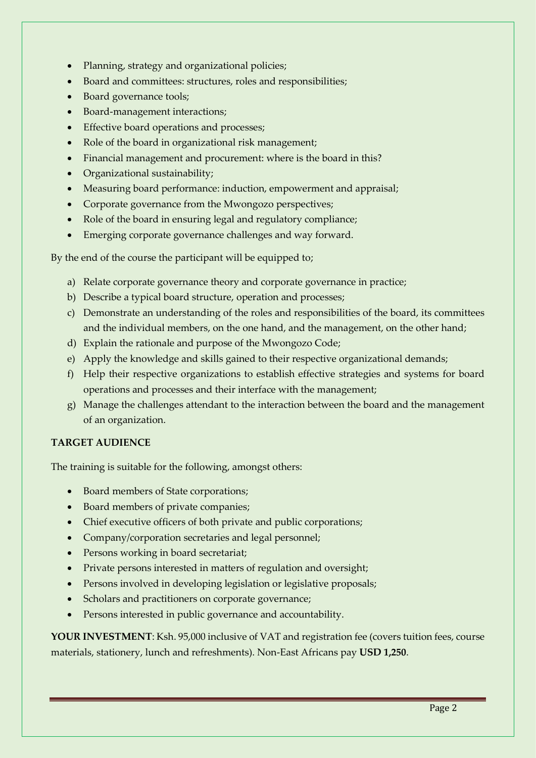- Planning, strategy and organizational policies;
- Board and committees: structures, roles and responsibilities;
- Board governance tools;
- Board-management interactions;
- Effective board operations and processes;
- Role of the board in organizational risk management;
- Financial management and procurement: where is the board in this?
- Organizational sustainability;
- Measuring board performance: induction, empowerment and appraisal;
- Corporate governance from the Mwongozo perspectives;
- Role of the board in ensuring legal and regulatory compliance;
- Emerging corporate governance challenges and way forward.

By the end of the course the participant will be equipped to;

- a) Relate corporate governance theory and corporate governance in practice;
- b) Describe a typical board structure, operation and processes;
- c) Demonstrate an understanding of the roles and responsibilities of the board, its committees and the individual members, on the one hand, and the management, on the other hand;
- d) Explain the rationale and purpose of the Mwongozo Code;
- e) Apply the knowledge and skills gained to their respective organizational demands;
- f) Help their respective organizations to establish effective strategies and systems for board operations and processes and their interface with the management;
- g) Manage the challenges attendant to the interaction between the board and the management of an organization.

#### **TARGET AUDIENCE**

The training is suitable for the following, amongst others:

- Board members of State corporations;
- Board members of private companies;
- Chief executive officers of both private and public corporations;
- Company/corporation secretaries and legal personnel;
- Persons working in board secretariat;
- Private persons interested in matters of regulation and oversight;
- Persons involved in developing legislation or legislative proposals;
- Scholars and practitioners on corporate governance;
- Persons interested in public governance and accountability.

YOUR INVESTMENT: Ksh. 95,000 inclusive of VAT and registration fee (covers tuition fees, course materials, stationery, lunch and refreshments). Non-East Africans pay **USD 1,250**.